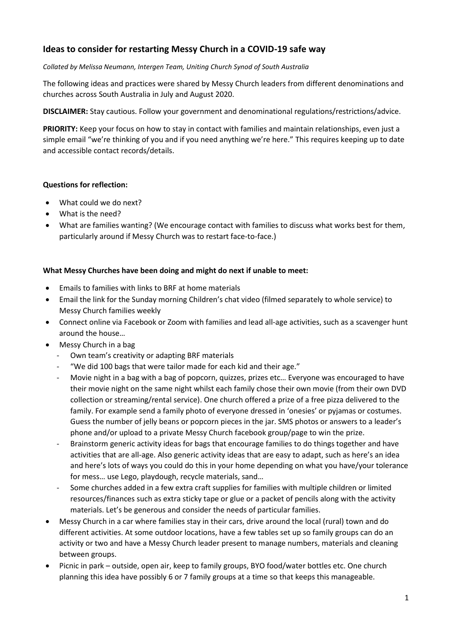# **Ideas to consider for restarting Messy Church in a COVID-19 safe way**

#### *Collated by Melissa Neumann, Intergen Team, Uniting Church Synod of South Australia*

The following ideas and practices were shared by Messy Church leaders from different denominations and churches across South Australia in July and August 2020.

**DISCLAIMER:** Stay cautious. Follow your government and denominational regulations/restrictions/advice.

PRIORITY: Keep your focus on how to stay in contact with families and maintain relationships, even just a simple email "we're thinking of you and if you need anything we're here." This requires keeping up to date and accessible contact records/details.

### **Questions for reflection:**

- What could we do next?
- What is the need?
- What are families wanting? (We encourage contact with families to discuss what works best for them, particularly around if Messy Church was to restart face-to-face.)

## **What Messy Churches have been doing and might do next if unable to meet:**

- Emails to families with links to BRF at home materials
- Email the link for the Sunday morning Children's chat video (filmed separately to whole service) to Messy Church families weekly
- Connect online via Facebook or Zoom with families and lead all-age activities, such as a scavenger hunt around the house…
- Messy Church in a bag
	- Own team's creativity or adapting BRF materials
	- "We did 100 bags that were tailor made for each kid and their age."
	- Movie night in a bag with a bag of popcorn, quizzes, prizes etc... Everyone was encouraged to have their movie night on the same night whilst each family chose their own movie (from their own DVD collection or streaming/rental service). One church offered a prize of a free pizza delivered to the family. For example send a family photo of everyone dressed in 'onesies' or pyjamas or costumes. Guess the number of jelly beans or popcorn pieces in the jar. SMS photos or answers to a leader's phone and/or upload to a private Messy Church facebook group/page to win the prize.
	- Brainstorm generic activity ideas for bags that encourage families to do things together and have activities that are all-age. Also generic activity ideas that are easy to adapt, such as here's an idea and here's lots of ways you could do this in your home depending on what you have/your tolerance for mess… use Lego, playdough, recycle materials, sand…
	- Some churches added in a few extra craft supplies for families with multiple children or limited resources/finances such as extra sticky tape or glue or a packet of pencils along with the activity materials. Let's be generous and consider the needs of particular families.
- Messy Church in a car where families stay in their cars, drive around the local (rural) town and do different activities. At some outdoor locations, have a few tables set up so family groups can do an activity or two and have a Messy Church leader present to manage numbers, materials and cleaning between groups.
- Picnic in park outside, open air, keep to family groups, BYO food/water bottles etc. One church planning this idea have possibly 6 or 7 family groups at a time so that keeps this manageable.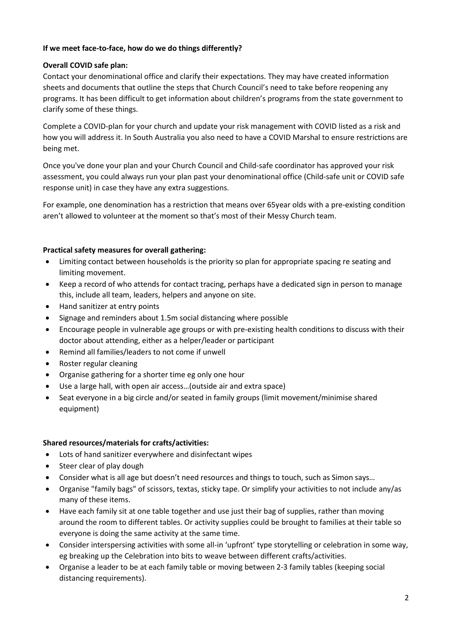## **If we meet face-to-face, how do we do things differently?**

## **Overall COVID safe plan:**

Contact your denominational office and clarify their expectations. They may have created information sheets and documents that outline the steps that Church Council's need to take before reopening any programs. It has been difficult to get information about children's programs from the state government to clarify some of these things.

Complete a COVID-plan for your church and update your risk management with COVID listed as a risk and how you will address it. In South Australia you also need to have a COVID Marshal to ensure restrictions are being met.

Once you've done your plan and your Church Council and Child-safe coordinator has approved your risk assessment, you could always run your plan past your denominational office (Child-safe unit or COVID safe response unit) in case they have any extra suggestions.

For example, one denomination has a restriction that means over 65year olds with a pre-existing condition aren't allowed to volunteer at the moment so that's most of their Messy Church team.

### **Practical safety measures for overall gathering:**

- Limiting contact between households is the priority so plan for appropriate spacing re seating and limiting movement.
- Keep a record of who attends for contact tracing, perhaps have a dedicated sign in person to manage this, include all team, leaders, helpers and anyone on site.
- Hand sanitizer at entry points
- Signage and reminders about 1.5m social distancing where possible
- Encourage people in vulnerable age groups or with pre-existing health conditions to discuss with their doctor about attending, either as a helper/leader or participant
- Remind all families/leaders to not come if unwell
- Roster regular cleaning
- Organise gathering for a shorter time eg only one hour
- Use a large hall, with open air access…(outside air and extra space)
- Seat everyone in a big circle and/or seated in family groups (limit movement/minimise shared equipment)

### **Shared resources/materials for crafts/activities:**

- Lots of hand sanitizer everywhere and disinfectant wipes
- Steer clear of play dough
- Consider what is all age but doesn't need resources and things to touch, such as Simon says…
- Organise "family bags" of scissors, textas, sticky tape. Or simplify your activities to not include any/as many of these items.
- Have each family sit at one table together and use just their bag of supplies, rather than moving around the room to different tables. Or activity supplies could be brought to families at their table so everyone is doing the same activity at the same time.
- Consider interspersing activities with some all-in 'upfront' type storytelling or celebration in some way, eg breaking up the Celebration into bits to weave between different crafts/activities.
- Organise a leader to be at each family table or moving between 2-3 family tables (keeping social distancing requirements).